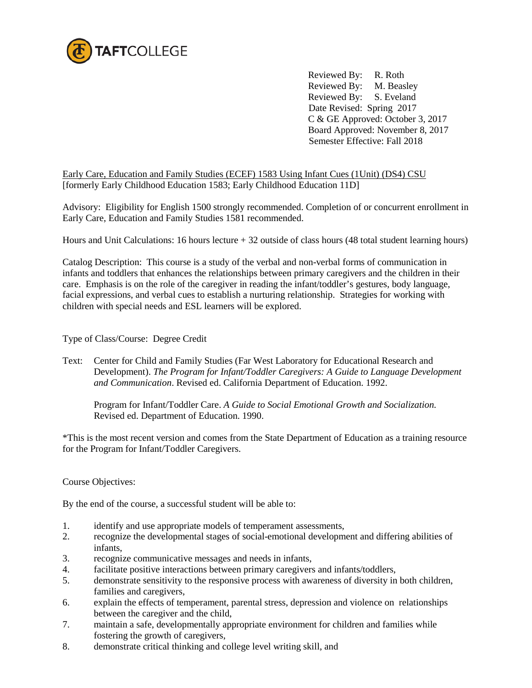

 Reviewed By: R. Roth Reviewed By: M. Beasley Reviewed By: S. Eveland Date Revised: Spring 2017 C & GE Approved: October 3, 2017 Board Approved: November 8, 2017 Semester Effective: Fall 2018

Early Care, Education and Family Studies (ECEF) 1583 Using Infant Cues (1Unit) (DS4) CSU [formerly Early Childhood Education 1583; Early Childhood Education 11D]

Advisory: Eligibility for English 1500 strongly recommended. Completion of or concurrent enrollment in Early Care, Education and Family Studies 1581 recommended.

Hours and Unit Calculations: 16 hours lecture + 32 outside of class hours (48 total student learning hours)

Catalog Description: This course is a study of the verbal and non-verbal forms of communication in infants and toddlers that enhances the relationships between primary caregivers and the children in their care. Emphasis is on the role of the caregiver in reading the infant/toddler's gestures, body language, facial expressions, and verbal cues to establish a nurturing relationship. Strategies for working with children with special needs and ESL learners will be explored.

Type of Class/Course: Degree Credit

Text: Center for Child and Family Studies (Far West Laboratory for Educational Research and Development). *The Program for Infant/Toddler Caregivers: A Guide to Language Development and Communication*. Revised ed. California Department of Education. 1992.

Program for Infant/Toddler Care. *A Guide to Social Emotional Growth and Socialization.*  Revised ed. Department of Education. 1990.

\*This is the most recent version and comes from the State Department of Education as a training resource for the Program for Infant/Toddler Caregivers.

Course Objectives:

By the end of the course, a successful student will be able to:

- 1. identify and use appropriate models of temperament assessments,
- 2. recognize the developmental stages of social-emotional development and differing abilities of infants,
- 3. recognize communicative messages and needs in infants,
- 4. facilitate positive interactions between primary caregivers and infants/toddlers,
- 5. demonstrate sensitivity to the responsive process with awareness of diversity in both children, families and caregivers,
- 6. explain the effects of temperament, parental stress, depression and violence on relationships between the caregiver and the child,
- 7. maintain a safe, developmentally appropriate environment for children and families while fostering the growth of caregivers,
- 8. demonstrate critical thinking and college level writing skill, and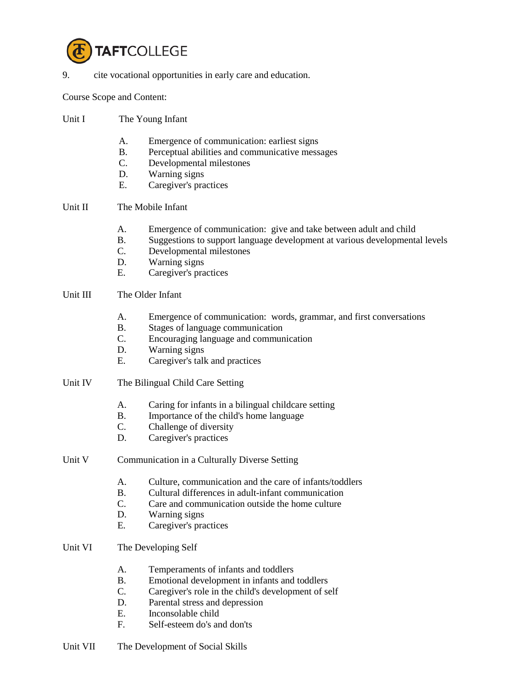

9. cite vocational opportunities in early care and education.

Course Scope and Content:

- Unit I The Young Infant
	- A. Emergence of communication: earliest signs
	- B. Perceptual abilities and communicative messages
	- C. Developmental milestones
	- D. Warning signs
	- E. Caregiver's practices
- Unit II The Mobile Infant
	- A. Emergence of communication: give and take between adult and child
	- B. Suggestions to support language development at various developmental levels
	- C. Developmental milestones
	- D. Warning signs
	- E. Caregiver's practices
- Unit III The Older Infant
	- A. Emergence of communication: words, grammar, and first conversations
	- B. Stages of language communication
	- C. Encouraging language and communication
	- D. Warning signs
	- E. Caregiver's talk and practices
- Unit IV The Bilingual Child Care Setting
	- A. Caring for infants in a bilingual childcare setting
	- B. Importance of the child's home language
	- C. Challenge of diversity
	- D. Caregiver's practices
- Unit V Communication in a Culturally Diverse Setting
	- A. Culture, communication and the care of infants/toddlers
	- B. Cultural differences in adult-infant communication
	- C. Care and communication outside the home culture
	- D. Warning signs
	- E. Caregiver's practices
- Unit VI The Developing Self
	- A. Temperaments of infants and toddlers
	- B. Emotional development in infants and toddlers
	- C. Caregiver's role in the child's development of self
	- D. Parental stress and depression
	- E. Inconsolable child
	- F. Self-esteem do's and don'ts
- Unit VII The Development of Social Skills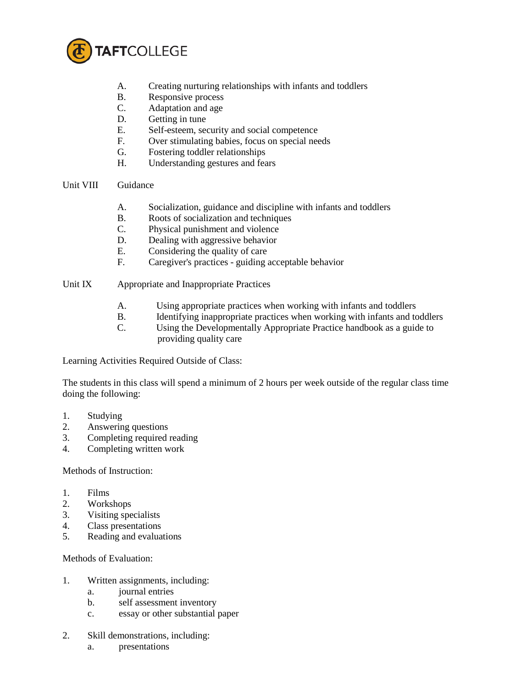

- A. Creating nurturing relationships with infants and toddlers
- B. Responsive process
- C. Adaptation and age
- D. Getting in tune
- E. Self-esteem, security and social competence
- F. Over stimulating babies, focus on special needs
- G. Fostering toddler relationships
- H. Understanding gestures and fears

## Unit VIII Guidance

- A. Socialization, guidance and discipline with infants and toddlers
- B. Roots of socialization and techniques
- C. Physical punishment and violence
- D. Dealing with aggressive behavior
- E. Considering the quality of care
- F. Caregiver's practices guiding acceptable behavior
- Unit IX Appropriate and Inappropriate Practices
	- A. Using appropriate practices when working with infants and toddlers
	- B. Identifying inappropriate practices when working with infants and toddlers
	- C. Using the Developmentally Appropriate Practice handbook as a guide to providing quality care

Learning Activities Required Outside of Class:

The students in this class will spend a minimum of 2 hours per week outside of the regular class time doing the following:

- 1. Studying
- 2. Answering questions
- 3. Completing required reading
- 4. Completing written work

## Methods of Instruction:

- 1. Films
- 2. Workshops
- 3. Visiting specialists
- 4. Class presentations
- 5. Reading and evaluations

Methods of Evaluation:

- 1. Written assignments, including:
	- a. journal entries
	- b. self assessment inventory
	- c. essay or other substantial paper
- 2. Skill demonstrations, including:
	- a. presentations